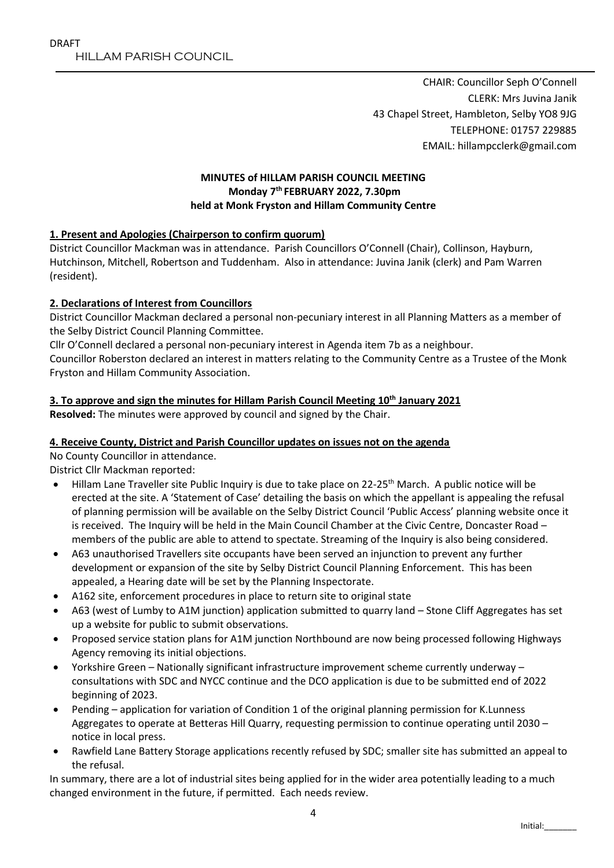CHAIR: Councillor Seph O'Connell CLERK: Mrs Juvina Janik 43 Chapel Street, Hambleton, Selby YO8 9JG TELEPHONE: 01757 229885 EMAIL: hillampcclerk@gmail.com

## **MINUTES of HILLAM PARISH COUNCIL MEETING Monday 7 th FEBRUARY 2022, 7.30pm held at Monk Fryston and Hillam Community Centre**

#### **1. Present and Apologies (Chairperson to confirm quorum)**

District Councillor Mackman was in attendance. Parish Councillors O'Connell (Chair), Collinson, Hayburn, Hutchinson, Mitchell, Robertson and Tuddenham. Also in attendance: Juvina Janik (clerk) and Pam Warren (resident).

## **2. Declarations of Interest from Councillors**

District Councillor Mackman declared a personal non-pecuniary interest in all Planning Matters as a member of the Selby District Council Planning Committee.

Cllr O'Connell declared a personal non-pecuniary interest in Agenda item 7b as a neighbour.

Councillor Roberston declared an interest in matters relating to the Community Centre as a Trustee of the Monk Fryston and Hillam Community Association.

#### **3. To approve and sign the minutes for Hillam Parish Council Meeting 10th January 2021**

**Resolved:** The minutes were approved by council and signed by the Chair.

#### **4. Receive County, District and Parish Councillor updates on issues not on the agenda**

No County Councillor in attendance.

District Cllr Mackman reported:

- Hillam Lane Traveller site Public Inquiry is due to take place on 22-25<sup>th</sup> March. A public notice will be erected at the site. A 'Statement of Case' detailing the basis on which the appellant is appealing the refusal of planning permission will be available on the Selby District Council 'Public Access' planning website once it is received. The Inquiry will be held in the Main Council Chamber at the Civic Centre, Doncaster Road – members of the public are able to attend to spectate. Streaming of the Inquiry is also being considered.
- A63 unauthorised Travellers site occupants have been served an injunction to prevent any further development or expansion of the site by Selby District Council Planning Enforcement. This has been appealed, a Hearing date will be set by the Planning Inspectorate.
- A162 site, enforcement procedures in place to return site to original state
- A63 (west of Lumby to A1M junction) application submitted to quarry land Stone Cliff Aggregates has set up a website for public to submit observations.
- Proposed service station plans for A1M junction Northbound are now being processed following Highways Agency removing its initial objections.
- Yorkshire Green Nationally significant infrastructure improvement scheme currently underway consultations with SDC and NYCC continue and the DCO application is due to be submitted end of 2022 beginning of 2023.
- Pending application for variation of Condition 1 of the original planning permission for K.Lunness Aggregates to operate at Betteras Hill Quarry, requesting permission to continue operating until 2030 – notice in local press.
- Rawfield Lane Battery Storage applications recently refused by SDC; smaller site has submitted an appeal to the refusal.

In summary, there are a lot of industrial sites being applied for in the wider area potentially leading to a much changed environment in the future, if permitted. Each needs review.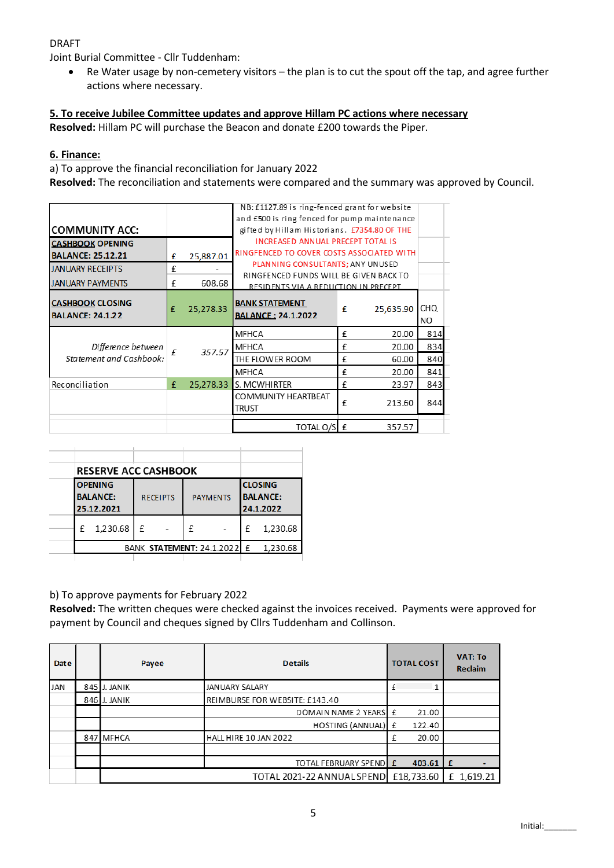## DRAFT

Joint Burial Committee - Cllr Tuddenham:

 Re Water usage by non-cemetery visitors – the plan is to cut the spout off the tap, and agree further actions where necessary.

#### **5. To receive Jubilee Committee updates and approve Hillam PC actions where necessary**

**Resolved:** Hillam PC will purchase the Beacon and donate £200 towards the Piper.

#### **6. Finance:**

a) To approve the financial reconciliation for January 2022

**Resolved:** The reconciliation and statements were compared and the summary was approved by Council.

|                                                    |                                              |                                          | NB: £1127.89 is ring-fenced grant for website                                  |   |           |                   |  |  |
|----------------------------------------------------|----------------------------------------------|------------------------------------------|--------------------------------------------------------------------------------|---|-----------|-------------------|--|--|
|                                                    |                                              |                                          | and £500 is ring fenced for pump maintenance                                   |   |           |                   |  |  |
| <b>COMMUNITY ACC:</b>                              | gifted by Hillam Historians. £7354.80 OF THE |                                          |                                                                                |   |           |                   |  |  |
| <b>CASHBOOK OPENING</b>                            |                                              | <b>INCREASED ANNUAL PRECEPT TOTAL IS</b> |                                                                                |   |           |                   |  |  |
| <b>BALANCE: 25.12.21</b>                           | £                                            | 25,887.01                                | RINGFENCED TO COVER COSTS ASSOCIATED WITH                                      |   |           |                   |  |  |
| <b>JANUARY RECEIPTS</b>                            | £                                            |                                          | PLANNING CONSULTANTS; ANY UNUSED                                               |   |           |                   |  |  |
| <b>JANUARY PAYMENTS</b>                            | £                                            | 608.68                                   | RINGFENCED FUNDS WILL BE GIVEN BACK TO<br>RESIDENTS VIA A REDUCTION IN PRECEPT |   |           |                   |  |  |
| <b>CASHBOOK CLOSING</b><br><b>BALANCE: 24.1.22</b> | £                                            | 25,278.33                                | <b>BANK STATEMENT</b><br><b>BALANCE: 24.1.2022</b>                             | £ | 25,635.90 | <b>CHQ</b><br>NO. |  |  |
|                                                    |                                              |                                          | <b>MFHCA</b>                                                                   | £ | 20.00     | 814               |  |  |
| Difference between<br>Statement and Cashbook:      |                                              | 357.57                                   | <b>MFHCA</b>                                                                   | £ | 20.00     | 834               |  |  |
|                                                    |                                              |                                          | THE FLOWER ROOM                                                                | £ | 60.00     | 840               |  |  |
|                                                    |                                              |                                          | <b>MFHCA</b>                                                                   | £ | 20.00     | 841               |  |  |
| Reconciliation                                     | £                                            | 25,278.33                                | S. MCWHIRTER                                                                   | £ | 23.97     | 843               |  |  |
|                                                    |                                              |                                          | COMMUNITY HEARTBEAT<br>trust                                                   | £ | 213.60    | 844               |  |  |
|                                                    |                                              |                                          | TOTAL O/S £                                                                    |   | 357.57    |                   |  |  |

|                                                 | <b>RESERVE ACC CASHBOOK</b> |                                    |  |   |                                                |          |          |
|-------------------------------------------------|-----------------------------|------------------------------------|--|---|------------------------------------------------|----------|----------|
| <b>OPENING</b><br><b>BALANCE:</b><br>25.12.2021 |                             | <b>PAYMENTS</b><br><b>RECEIPTS</b> |  |   | <b>CLOSING</b><br><b>BALANCE:</b><br>24.1.2022 |          |          |
| £                                               | 1,230.68                    | £                                  |  | f |                                                | £        | 1,230.68 |
| BANK STATEMENT: 24.1.2022 E                     |                             |                                    |  |   |                                                | 1,230.68 |          |

#### b) To approve payments for February 2022

**Resolved:** The written cheques were checked against the invoices received. Payments were approved for payment by Council and cheques signed by Cllrs Tuddenham and Collinson.

| <b>Date</b> | Payee        | <b>Details</b>                 | <b>TOTAL COST</b> |                 | <b>VAT: To</b><br><b>Reclaim</b> |
|-------------|--------------|--------------------------------|-------------------|-----------------|----------------------------------|
| <b>JAN</b>  | 845 J. JANIK | <b>JANUARY SALARY</b>          |                   | 1               |                                  |
|             | 846 J. JANIK | REIMBURSE FOR WEBSITE: £143.40 |                   |                 |                                  |
|             |              | DOMAIN NAME 2 YEARS E          |                   | 21.00           |                                  |
|             |              | HOSTING (ANNUAL) £             |                   | 122.40          |                                  |
|             | 847 MFHCA    | HALL HIRE 10 JAN 2022          | £                 | 20.00           |                                  |
|             |              |                                |                   |                 |                                  |
|             |              | TOTAL FEBRUARY SPEND E         |                   | $403.61 \mid f$ |                                  |
|             |              | TOTAL 2021-22 ANNUAL SPEND     |                   | £18,733.60      | E 1,619.21                       |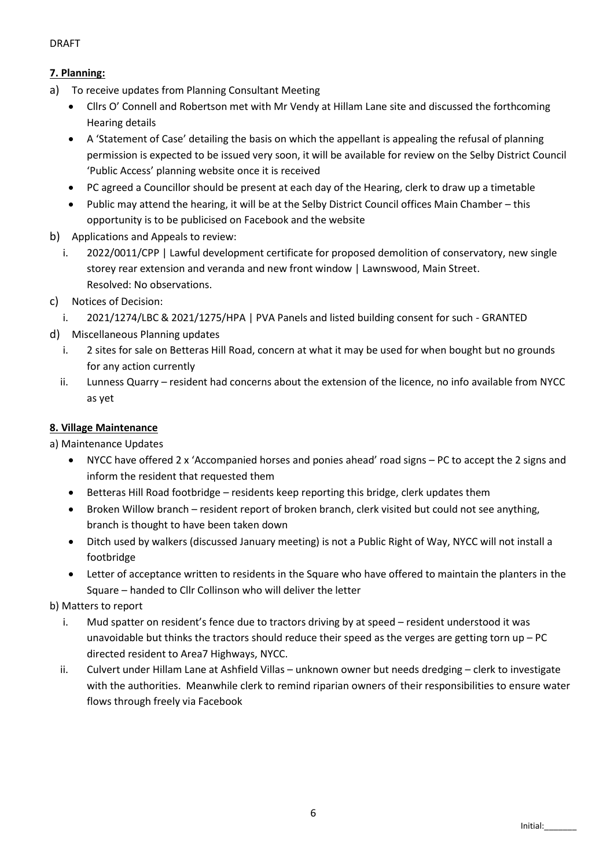### DRAFT

# **7. Planning:**

- a) To receive updates from Planning Consultant Meeting
	- Cllrs O' Connell and Robertson met with Mr Vendy at Hillam Lane site and discussed the forthcoming Hearing details
	- A 'Statement of Case' detailing the basis on which the appellant is appealing the refusal of planning permission is expected to be issued very soon, it will be available for review on the Selby District Council 'Public Access' planning website once it is received
	- PC agreed a Councillor should be present at each day of the Hearing, clerk to draw up a timetable
	- Public may attend the hearing, it will be at the Selby District Council offices Main Chamber this opportunity is to be publicised on Facebook and the website
- b) Applications and Appeals to review:
	- i. 2022/0011/CPP | Lawful development certificate for proposed demolition of conservatory, new single storey rear extension and veranda and new front window | Lawnswood, Main Street. Resolved: No observations.
- c) Notices of Decision:
	- i. 2021/1274/LBC & 2021/1275/HPA | PVA Panels and listed building consent for such GRANTED
- d) Miscellaneous Planning updates
	- i. 2 sites for sale on Betteras Hill Road, concern at what it may be used for when bought but no grounds for any action currently
	- ii. Lunness Quarry resident had concerns about the extension of the licence, no info available from NYCC as yet

## **8. Village Maintenance**

a) Maintenance Updates

- NYCC have offered 2 x 'Accompanied horses and ponies ahead' road signs PC to accept the 2 signs and inform the resident that requested them
- Betteras Hill Road footbridge residents keep reporting this bridge, clerk updates them
- Broken Willow branch resident report of broken branch, clerk visited but could not see anything, branch is thought to have been taken down
- Ditch used by walkers (discussed January meeting) is not a Public Right of Way, NYCC will not install a footbridge
- Letter of acceptance written to residents in the Square who have offered to maintain the planters in the Square – handed to Cllr Collinson who will deliver the letter

b) Matters to report

- i. Mud spatter on resident's fence due to tractors driving by at speed resident understood it was unavoidable but thinks the tractors should reduce their speed as the verges are getting torn up – PC directed resident to Area7 Highways, NYCC.
- ii. Culvert under Hillam Lane at Ashfield Villas unknown owner but needs dredging clerk to investigate with the authorities. Meanwhile clerk to remind riparian owners of their responsibilities to ensure water flows through freely via Facebook